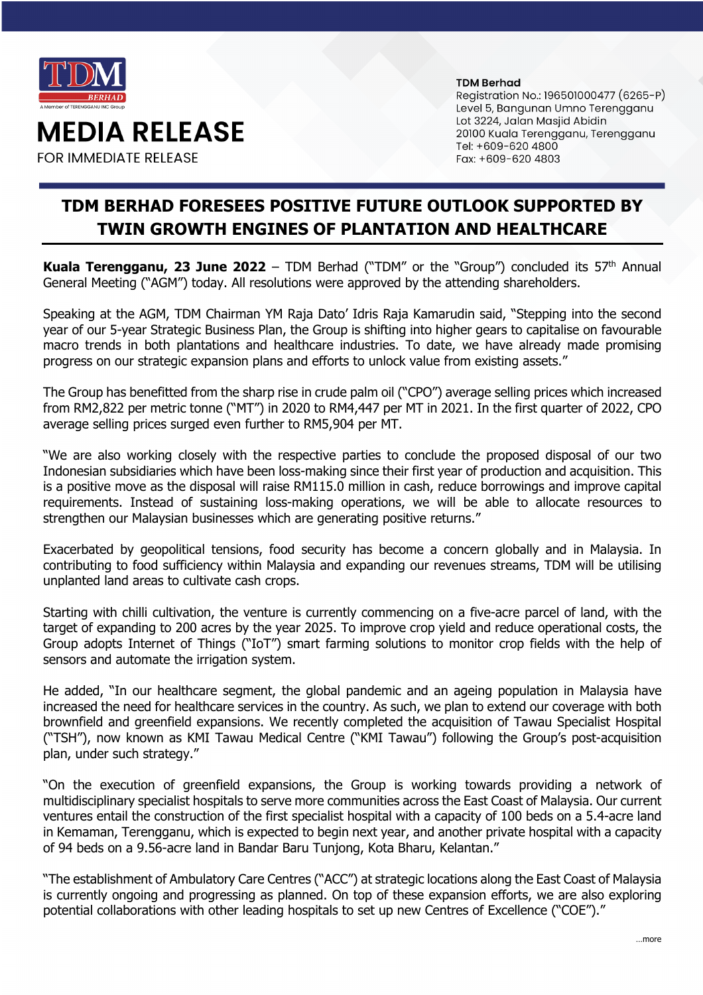

**MEDIA RELEASE** 

**FOR IMMEDIATE RELEASE** 

## **TDM Berhad**

Registration No.: 196501000477 (6265-P) Level 5, Bangunan Umno Terengganu Lot 3224, Jalan Masjid Abidin 20100 Kuala Terengganu, Terengganu Tel: +609-620 4800 Fax: +609-620 4803

## **TDM BERHAD FORESEES POSITIVE FUTURE OUTLOOK SUPPORTED BY TWIN GROWTH ENGINES OF PLANTATION AND HEALTHCARE**

**Kuala Terengganu, 23 June 2022** – TDM Berhad ("TDM" or the "Group") concluded its 57th Annual General Meeting ("AGM") today. All resolutions were approved by the attending shareholders.

Speaking at the AGM, TDM Chairman YM Raja Dato' Idris Raja Kamarudin said, "Stepping into the second year of our 5-year Strategic Business Plan, the Group is shifting into higher gears to capitalise on favourable macro trends in both plantations and healthcare industries. To date, we have already made promising progress on our strategic expansion plans and efforts to unlock value from existing assets."

The Group has benefitted from the sharp rise in crude palm oil ("CPO") average selling prices which increased from RM2,822 per metric tonne ("MT") in 2020 to RM4,447 per MT in 2021. In the first quarter of 2022, CPO average selling prices surged even further to RM5,904 per MT.

"We are also working closely with the respective parties to conclude the proposed disposal of our two Indonesian subsidiaries which have been loss-making since their first year of production and acquisition. This is a positive move as the disposal will raise RM115.0 million in cash, reduce borrowings and improve capital requirements. Instead of sustaining loss-making operations, we will be able to allocate resources to strengthen our Malaysian businesses which are generating positive returns."

Exacerbated by geopolitical tensions, food security has become a concern globally and in Malaysia. In contributing to food sufficiency within Malaysia and expanding our revenues streams, TDM will be utilising unplanted land areas to cultivate cash crops.

Starting with chilli cultivation, the venture is currently commencing on a five-acre parcel of land, with the target of expanding to 200 acres by the year 2025. To improve crop yield and reduce operational costs, the Group adopts Internet of Things ("IoT") smart farming solutions to monitor crop fields with the help of sensors and automate the irrigation system.

He added, "In our healthcare segment, the global pandemic and an ageing population in Malaysia have increased the need for healthcare services in the country. As such, we plan to extend our coverage with both brownfield and greenfield expansions. We recently completed the acquisition of Tawau Specialist Hospital ("TSH"), now known as KMI Tawau Medical Centre ("KMI Tawau") following the Group's post-acquisition plan, under such strategy."

"On the execution of greenfield expansions, the Group is working towards providing a network of multidisciplinary specialist hospitals to serve more communities across the East Coast of Malaysia. Our current ventures entail the construction of the first specialist hospital with a capacity of 100 beds on a 5.4-acre land in Kemaman, Terengganu, which is expected to begin next year, and another private hospital with a capacity of 94 beds on a 9.56-acre land in Bandar Baru Tunjong, Kota Bharu, Kelantan."

"The establishment of Ambulatory Care Centres ("ACC") at strategic locations along the East Coast of Malaysia is currently ongoing and progressing as planned. On top of these expansion efforts, we are also exploring potential collaborations with other leading hospitals to set up new Centres of Excellence ("COE")."